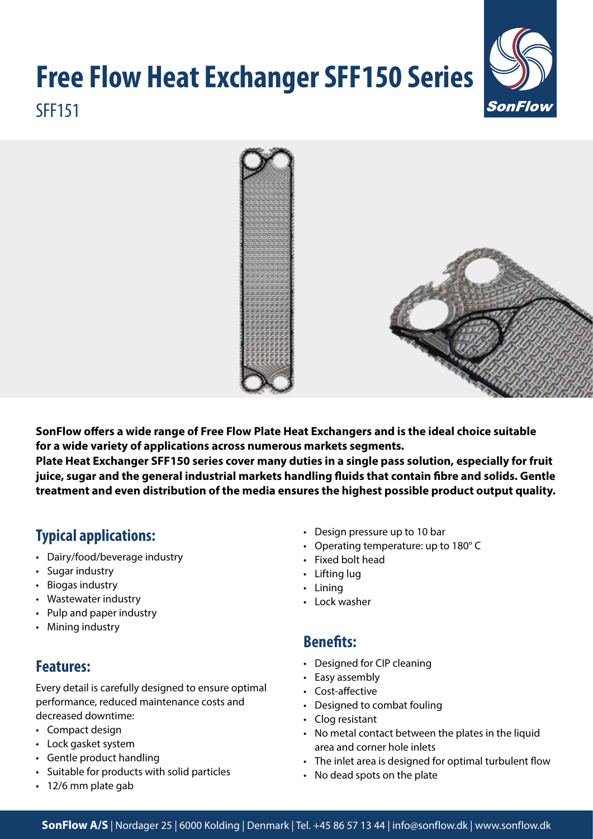# **Free Flow Heat Exchanger SFF150 Series** SFF151





**SonFlow offers a wide range of Free Flow Plate Heat Exchangers and is the ideal choice suitable for a wide variety of applications across numerous markets segments.** 

**Plate Heat Exchanger SFF150 series cover many duties in a single pass solution, especially for fruit juice, sugar and the general industrial markets handling fluids that contain fibre and solids. Gentle treatment and even distribution of the media ensures the highest possible product output quality.**

# **Typical applications:**

- Dairy/food/beverage industry
- Sugar industry
- Biogas industry
- Wastewater industry
- Pulp and paper industry
- Mining industry

# **Features:**

Every detail is carefully designed to ensure optimal performance, reduced maintenance costs and decreased downtime:

- Compact design
- Lock gasket system
- Gentle product handling
- Suitable for products with solid particles
- 12/6 mm plate gab
- Design pressure up to 10 bar
- Operating temperature: up to 180° C
- Fixed bolt head
- Lifting lug
- Lining
- Lock washer

### **Benefits:**

- Designed for CIP cleaning
- Easy assembly
- Cost-affective
- Designed to combat fouling
- Clog resistant
- No metal contact between the plates in the liquid area and corner hole inlets
- The inlet area is designed for optimal turbulent flow
- No dead spots on the plate